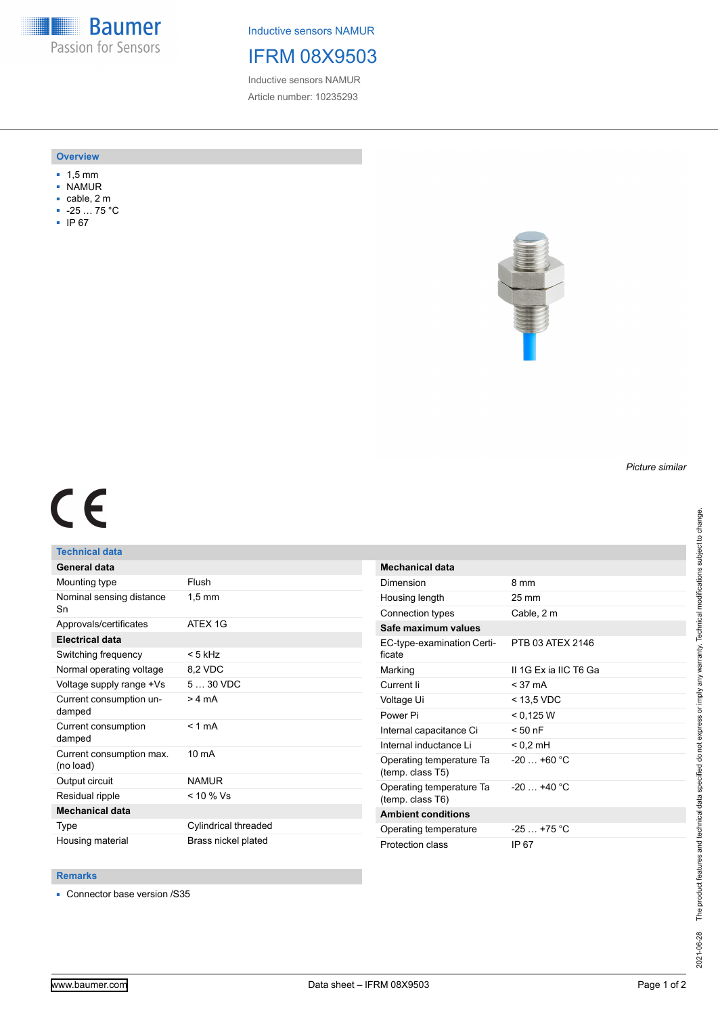**Baumer** Passion for Sensors

Inductive sensors NAMUR

# IFRM 08X9503

Inductive sensors NAMUR Article number: 10235293

### **Overview**

- 1,5 mm
- NAMUR
- cable, 2 m
- -25 … 75 °C
- IP 67



## *Picture similar*

# $C<sub>6</sub>$

## **Technical data**

| General data                          |                      |
|---------------------------------------|----------------------|
| Mounting type                         | Flush                |
| Nominal sensing distance<br>Sn        | $1,5 \text{ mm}$     |
| Approvals/certificates                | ATFX 1G              |
| <b>Electrical data</b>                |                      |
| Switching frequency                   | $< 5$ kHz            |
| Normal operating voltage              | 8,2 VDC              |
| Voltage supply range +Vs              | $530$ VDC            |
| Current consumption un-<br>damped     | > 4 mA               |
| Current consumption<br>damped         | $< 1$ mA             |
| Current consumption max.<br>(no load) | $10 \text{ mA}$      |
| Output circuit                        | <b>NAMUR</b>         |
| Residual ripple                       | $< 10 \%$ Vs         |
| <b>Mechanical data</b>                |                      |
| Type                                  | Cylindrical threaded |
| Housing material                      | Brass nickel plated  |

| <b>Mechanical data</b>                       |                       |
|----------------------------------------------|-----------------------|
| Dimension                                    | 8 mm                  |
| Housing length                               | $25 \,\mathrm{mm}$    |
| Connection types                             | Cable, 2 m            |
| Safe maximum values                          |                       |
| EC-type-examination Certi-<br>ficate         | PTB 03 ATEX 2146      |
| Marking                                      | II 1G Ex ia IIC T6 Ga |
| Current li                                   | $<$ 37 mA             |
| Voltage Ui                                   | $<$ 13.5 VDC          |
| Power Pi                                     | < 0.125 W             |
| Internal capacitance Ci                      | $< 50$ nF             |
| Internal inductance Li                       | $< 0.2$ mH            |
| Operating temperature Ta<br>(temp. class T5) | $-20$ +60 °C          |
| Operating temperature Ta<br>(temp. class T6) | $-20 + 40 °C$         |
| <b>Ambient conditions</b>                    |                       |
| Operating temperature                        | $-25 - +75$ °C        |
| Protection class                             | IP 67                 |

### **Remarks**

■ Connector base version /S35